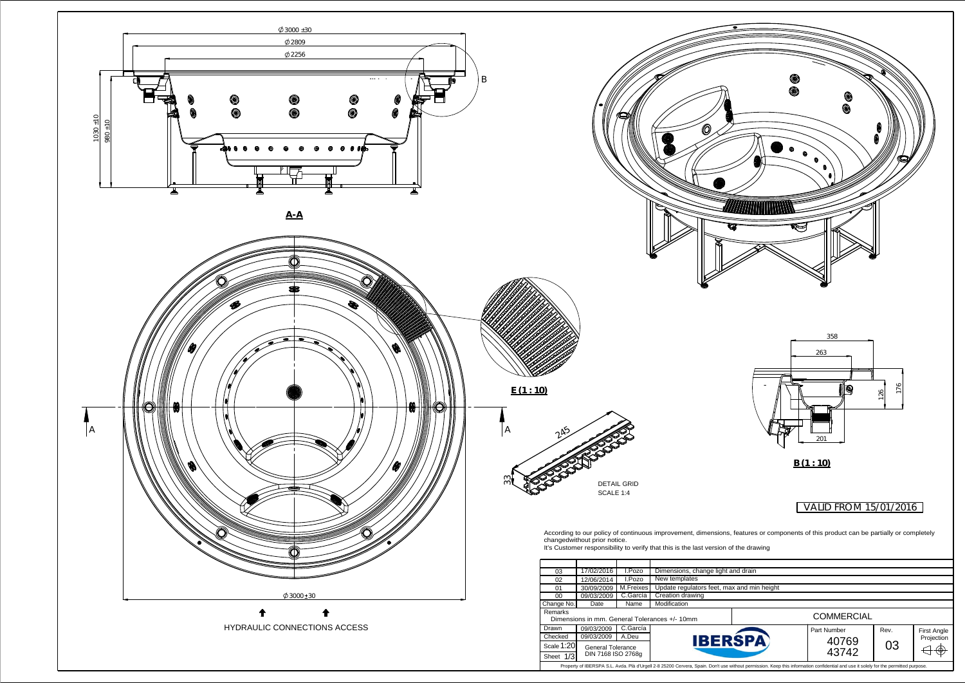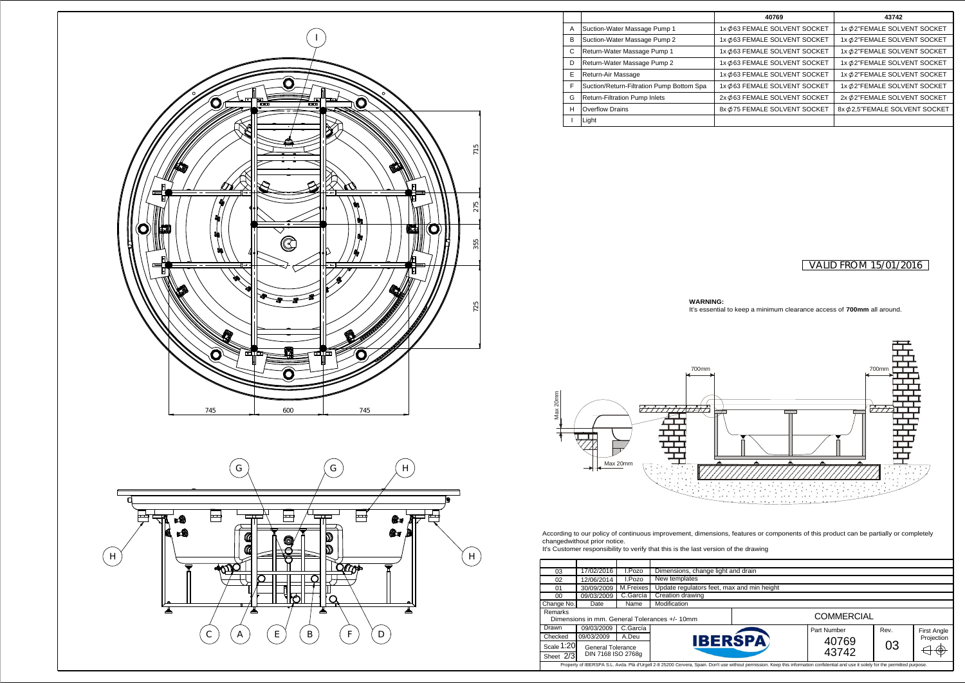## VALID FROM 15/01/2016



| 03                                                                                | 17/02/2016         | I.Pozo    | Dimensions, change light a |  |  |
|-----------------------------------------------------------------------------------|--------------------|-----------|----------------------------|--|--|
| 02                                                                                | 12/06/2014         | I.Pozo    | New templates              |  |  |
| 01                                                                                | 30/09/2009         | M.Freixes | Update regulators feet, ma |  |  |
| 00                                                                                | 09/03/2009         | C.García  | Creation drawing           |  |  |
| Change No.                                                                        | Date               | Name      | Modification               |  |  |
| Remarks<br>Dimensions in mm. General Tolerances +/- 10mm                          |                    |           |                            |  |  |
| Drawn                                                                             | 09/03/2009         | C.García  |                            |  |  |
| Checked                                                                           | 09/03/2009         | A.Deu     | <b>IBER</b>                |  |  |
| Scale 1:20<br>General Tolerance                                                   |                    |           |                            |  |  |
| Sheet $2\sqrt{3}$                                                                 | DIN 7168 ISO 2768g |           |                            |  |  |
| Property of IBERSPA S.L. Avda. Plà d'Urgell 2-8 25200 Cervera, Spain. Don't use v |                    |           |                            |  |  |

changedwithout prior notice.



**WARNING:**

It's essential to keep a minimum clearance access of **700mm** all around.

without permission. Keep this information confidential and use it solely for the permitted purpose.

|   |                                           | 40769                         | 43742                          |
|---|-------------------------------------------|-------------------------------|--------------------------------|
| A | Suction-Water Massage Pump 1              | 1x Ø63 FEMALE SOLVENT SOCKET  | 1x Ø2"FEMALE SOLVENT SOCKET    |
| в | Suction-Water Massage Pump 2              | 1x Ø63 FEMALE SOLVENT SOCKET  | 1x Ø2"FEMALE SOLVENT SOCKET    |
| C | Return-Water Massage Pump 1               | 1x Ø63 FEMALE SOLVENT SOCKET  | 1x Ø2"FEMALE SOLVENT SOCKET    |
| D | Return-Water Massage Pump 2               | 1x Ø63 FEMALE SOLVENT SOCKET  | 1x Ø2"FEMALE SOLVENT SOCKET    |
| E | Return-Air Massage                        | 1x Ø 63 FEMALE SOLVENT SOCKET | 1x Ø2"FEMALE SOLVENT SOCKET    |
| F | Suction/Return-Filtration Pump Bottom Spa | 1x Ø63 FEMALE SOLVENT SOCKET  | 1x Ø2"FEMALE SOLVENT SOCKET    |
| G | <b>Return-Filtration Pump Inlets</b>      | 2x Ø 63 FEMALE SOLVENT SOCKET | 2x Ø2"FEMALE SOLVENT SOCKET    |
| н | Overflow Drains                           | 8x Ø 75 FEMALE SOLVENT SOCKET | 8x Ø 2,5"FEMALE SOLVENT SOCKET |
|   | Light                                     |                               |                                |
|   |                                           |                               |                                |